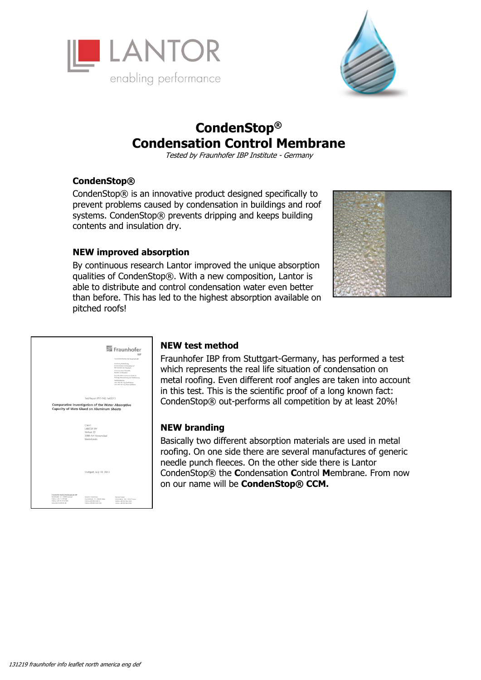



# **CondenStop® Condensation Control Membrane**

Tested by Fraunhofer IBP Institute - Germany

## **CondenStop®**

CondenStop® is an innovative product designed specifically to prevent problems caused by condensation in buildings and roof systems. CondenStop® prevents dripping and keeps building contents and insulation dry.

### **NEW improved absorption**

By continuous research Lantor improved the unique absorption qualities of CondenStop®. With a new composition, Lantor is able to distribute and control condensation water even better than before. This has led to the highest absorption available on pitched roofs!



|                                                                                                                                                  |                                                                                                                  | Fraunhofer<br><b>IRD</b>                                                                                                                                                                                                                                                                                                            |
|--------------------------------------------------------------------------------------------------------------------------------------------------|------------------------------------------------------------------------------------------------------------------|-------------------------------------------------------------------------------------------------------------------------------------------------------------------------------------------------------------------------------------------------------------------------------------------------------------------------------------|
|                                                                                                                                                  |                                                                                                                  | Fraunhofer-Institut für Bauphysik WP                                                                                                                                                                                                                                                                                                |
|                                                                                                                                                  |                                                                                                                  | Forschung, Entwicklung,<br>Demonstration and Beraturys auf<br>den Gobieten der Bauphysik<br>Zalasung reuer Baustoffe,<br><b>Sautolo und Bauarton</b><br>Beautichtich anotannie Stelle für<br>Prüfung, Überwechung und Zertifizierung<br>InstituteDeltong<br>Univ. Prof. Dr.-Ing. Gend Hauser<br>Univ. Prof. Dr. Ing. Kaus Sodkauer. |
|                                                                                                                                                  | Test Report P17-142.1e/2013                                                                                      |                                                                                                                                                                                                                                                                                                                                     |
|                                                                                                                                                  | <b>Comparative Investigation of the Water Absorptive</b><br>Capacity of Mats Glued on Aluminum Sheets            |                                                                                                                                                                                                                                                                                                                                     |
|                                                                                                                                                  | Client:<br>LANTOR RV<br>Verlaat 22<br>3900 AA Veenendaal<br>Niederlande                                          |                                                                                                                                                                                                                                                                                                                                     |
|                                                                                                                                                  | Stuttgart, July 10, 2013                                                                                         |                                                                                                                                                                                                                                                                                                                                     |
| traunbater tratitut für Bauphysk IBP<br>Nobehauße 12   31600 Stuttgert<br>Toldon +49 711 970-00<br>Total and 711 076 2396<br>www.kg-haveholet.de | Standart Holdstochen<br>Fraunkelestr, 10   83626 Valley<br>Tolohan +49 0024 643-8<br>Tolohan anth 0024 (543-356) | Standart Kessel<br>Gottschellers . 28x   34127 Kened<br>Tolkfon x-69 561 804-1870<br>Telefax +49 SE1 904-3181                                                                                                                                                                                                                       |

## **NEW test method**

Fraunhofer IBP from Stuttgart-Germany, has performed a test which represents the real life situation of condensation on metal roofing. Even different roof angles are taken into account in this test. This is the scientific proof of a long known fact: CondenStop® out-performs all competition by at least 20%!

#### **NEW branding**

Basically two different absorption materials are used in metal roofing. On one side there are several manufactures of generic needle punch fleeces. On the other side there is Lantor CondenStop® the **C**ondensation **C**ontrol **M**embrane. From now on our name will be **CondenStop® CCM.**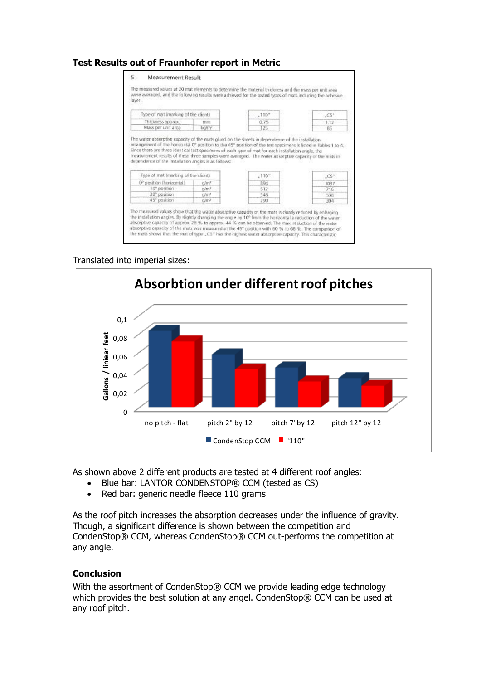## **Test Results out of Fraunhofer report in Metric**

| Type of mat (marking of the client)                                  |                       | ,110°                                                                                                                                                                                                                                                                                                                             | C5         |
|----------------------------------------------------------------------|-----------------------|-----------------------------------------------------------------------------------------------------------------------------------------------------------------------------------------------------------------------------------------------------------------------------------------------------------------------------------|------------|
| Thickness approx.                                                    | mm                    | 0.75                                                                                                                                                                                                                                                                                                                              | 1.12       |
| Mass per unit area                                                   | kann <sup>2</sup>     | 125                                                                                                                                                                                                                                                                                                                               | 86         |
|                                                                      |                       | atrangement of the horizontal O" position to the 45° position of the tirst specimens is listed in Tables 1 to 4.<br>Since there are three identical test specimens of each type of mot for each installation angle, the<br>measurement results of these three samples were averaged. The water absorptive capacity of the mats in |            |
| Type of mat Imarking of the client)                                  |                       | .110 <sup>o</sup>                                                                                                                                                                                                                                                                                                                 | $C S^n$    |
| 0° position (horizontal)                                             | $\alpha/m^2$          | ROA:                                                                                                                                                                                                                                                                                                                              | 1037       |
| dependence of the installation angles is as follows:<br>10° position | cu/m <sup>2</sup>     | 512                                                                                                                                                                                                                                                                                                                               | 716        |
| 30° position<br>45" position                                         | <b>G/mil</b><br>culm? | 348<br>290                                                                                                                                                                                                                                                                                                                        | 538<br>394 |

#### Translated into imperial sizes:



As shown above 2 different products are tested at 4 different roof angles:

- Blue bar: LANTOR CONDENSTOP® CCM (tested as CS)
- Red bar: generic needle fleece 110 grams

As the roof pitch increases the absorption decreases under the influence of gravity. Though, a significant difference is shown between the competition and CondenStop® CCM, whereas CondenStop® CCM out-performs the competition at any angle.

## **Conclusion**

With the assortment of CondenStop® CCM we provide leading edge technology which provides the best solution at any angel. CondenStop® CCM can be used at any roof pitch.